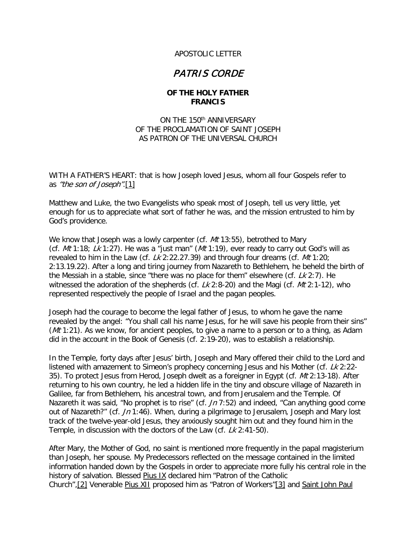## APOSTOLIC LETTER

# PATRIS CORDE

### **OF THE HOLY FATHER FRANCIS**

## ON THE 150<sup>th</sup> ANNIVERSARY OF THE PROCLAMATION OF SAINT JOSEPH AS PATRON OF THE UNIVERSAL CHURCH

WITH A FATHER'S HEART: that is how Joseph loved Jesus, whom all four Gospels refer to as "the son of Joseph"[.\[1\]](http://www.vatican.va/content/francesco/en/apost_letters/documents/papa-francesco-lettera-ap_20201208_patris-corde.html#_ftn1)

Matthew and Luke, the two Evangelists who speak most of Joseph, tell us very little, yet enough for us to appreciate what sort of father he was, and the mission entrusted to him by God's providence.

We know that Joseph was a lowly carpenter (cf.  $Mt$  13:55), betrothed to Mary (cf.  $Mt$  1:18; Lk 1:27). He was a "just man" ( $Mt$  1:19), ever ready to carry out God's will as revealed to him in the Law (cf.  $Lk$  2:22.27.39) and through four dreams (cf.  $Mt$  1:20; 2:13.19.22). After a long and tiring journey from Nazareth to Bethlehem, he beheld the birth of the Messiah in a stable, since "there was no place for them" elsewhere (cf.  $Lk$  2:7). He witnessed the adoration of the shepherds (cf.  $Lk$  2:8-20) and the Magi (cf.  $Mt$  2:1-12), who represented respectively the people of Israel and the pagan peoples.

Joseph had the courage to become the legal father of Jesus, to whom he gave the name revealed by the angel: "You shall call his name Jesus, for he will save his people from their sins"  $(Mt 1:21)$ . As we know, for ancient peoples, to give a name to a person or to a thing, as Adam did in the account in the Book of Genesis (cf. 2:19-20), was to establish a relationship.

In the Temple, forty days after Jesus' birth, Joseph and Mary offered their child to the Lord and listened with amazement to Simeon's prophecy concerning Jesus and his Mother (cf. Lk 2:22-35). To protect Jesus from Herod, Joseph dwelt as a foreigner in Egypt (cf. Mt 2:13-18). After returning to his own country, he led a hidden life in the tiny and obscure village of Nazareth in Galilee, far from Bethlehem, his ancestral town, and from Jerusalem and the Temple. Of Nazareth it was said, "No prophet is to rise" (cf.  $Jn$  7:52) and indeed, "Can anything good come out of Nazareth?" (cf.  $Jn$  1:46). When, during a pilgrimage to Jerusalem, Joseph and Mary lost track of the twelve-year-old Jesus, they anxiously sought him out and they found him in the Temple, in discussion with the doctors of the Law (cf. Lk 2:41-50).

After Mary, the Mother of God, no saint is mentioned more frequently in the papal magisterium than Joseph, her spouse. My Predecessors reflected on the message contained in the limited information handed down by the Gospels in order to appreciate more fully his central role in the history of salvation. Blessed [Pius IX](http://www.vatican.va/content/pius-ix/en.html) declared him "Patron of the Catholic Church", [2] Venerable [Pius XII](http://www.vatican.va/content/pius-xii/en.html) proposed him as "Patron of Workers" [3] and Saint John Paul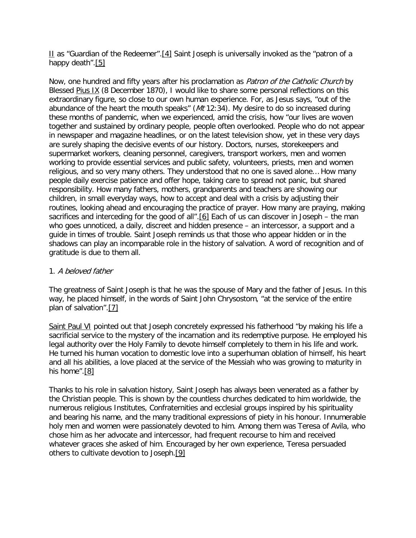[II](http://www.vatican.va/content/john-paul-ii/en.html) as "Guardian of the Redeemer"[.\[4\]](http://www.vatican.va/content/francesco/en/apost_letters/documents/papa-francesco-lettera-ap_20201208_patris-corde.html#_ftn4) Saint Joseph is universally invoked as the "patron of a happy death"[.\[5\]](http://www.vatican.va/content/francesco/en/apost_letters/documents/papa-francesco-lettera-ap_20201208_patris-corde.html#_ftn5)

Now, one hundred and fifty years after his proclamation as *Patron of the Catholic Church* by Blessed [Pius IX](http://www.vatican.va/content/pius-ix/en.html) (8 December 1870), I would like to share some personal reflections on this extraordinary figure, so close to our own human experience. For, as Jesus says, "out of the abundance of the heart the mouth speaks" ( $Mt$  12:34). My desire to do so increased during these months of pandemic, when we experienced, amid the crisis, how "our lives are woven together and sustained by ordinary people, people often overlooked. People who do not appear in newspaper and magazine headlines, or on the latest television show, yet in these very days are surely shaping the decisive events of our history. Doctors, nurses, storekeepers and supermarket workers, cleaning personnel, caregivers, transport workers, men and women working to provide essential services and public safety, volunteers, priests, men and women religious, and so very many others. They understood that no one is saved alone… How many people daily exercise patience and offer hope, taking care to spread not panic, but shared responsibility. How many fathers, mothers, grandparents and teachers are showing our children, in small everyday ways, how to accept and deal with a crisis by adjusting their routines, looking ahead and encouraging the practice of prayer. How many are praying, making sacrifices and interceding for the good of all". [6] Each of us can discover in Joseph – the man who goes unnoticed, a daily, discreet and hidden presence – an intercessor, a support and a guide in times of trouble. Saint Joseph reminds us that those who appear hidden or in the shadows can play an incomparable role in the history of salvation. A word of recognition and of gratitude is due to them all.

## 1. A beloved father

The greatness of Saint Joseph is that he was the spouse of Mary and the father of Jesus. In this way, he placed himself, in the words of Saint John Chrysostom, "at the service of the entire plan of salvation"[.\[7\]](http://www.vatican.va/content/francesco/en/apost_letters/documents/papa-francesco-lettera-ap_20201208_patris-corde.html#_ftn7)

[Saint Paul VI](http://www.vatican.va/content/paul-vi/en.html) pointed out that Joseph concretely expressed his fatherhood "by making his life a sacrificial service to the mystery of the incarnation and its redemptive purpose. He employed his legal authority over the Holy Family to devote himself completely to them in his life and work. He turned his human vocation to domestic love into a superhuman oblation of himself, his heart and all his abilities, a love placed at the service of the Messiah who was growing to maturity in his home".<sup>[8]</sup>

Thanks to his role in salvation history, Saint Joseph has always been venerated as a father by the Christian people. This is shown by the countless churches dedicated to him worldwide, the numerous religious Institutes, Confraternities and ecclesial groups inspired by his spirituality and bearing his name, and the many traditional expressions of piety in his honour. Innumerable holy men and women were passionately devoted to him. Among them was Teresa of Avila, who chose him as her advocate and intercessor, had frequent recourse to him and received whatever graces she asked of him. Encouraged by her own experience, Teresa persuaded others to cultivate devotion to Joseph[.\[9\]](http://www.vatican.va/content/francesco/en/apost_letters/documents/papa-francesco-lettera-ap_20201208_patris-corde.html#_ftn9)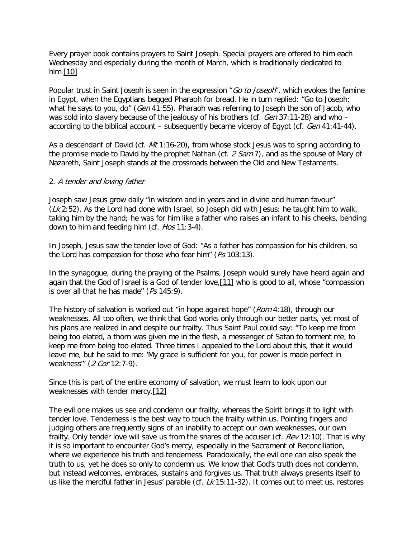Every prayer book contains prayers to Saint Joseph. Special prayers are offered to him each Wednesday and especially during the month of March, which is traditionally dedicated to him[.\[10\]](http://www.vatican.va/content/francesco/en/apost_letters/documents/papa-francesco-lettera-ap_20201208_patris-corde.html#_ftn10)

Popular trust in Saint Joseph is seen in the expression "Go to Joseph", which evokes the famine in Egypt, when the Egyptians begged Pharaoh for bread. He in turn replied: "Go to Joseph; what he says to you, do" (Gen 41:55). Pharaoh was referring to Joseph the son of Jacob, who was sold into slavery because of the jealousy of his brothers (cf. Gen 37:11-28) and who – according to the biblical account – subsequently became viceroy of Egypt (cf. Gen 41:41-44).

As a descendant of David (cf.  $Mt$  1:16-20), from whose stock Jesus was to spring according to the promise made to David by the prophet Nathan (cf. 2 Sam 7), and as the spouse of Mary of Nazareth, Saint Joseph stands at the crossroads between the Old and New Testaments.

#### 2. A tender and loving father

Joseph saw Jesus grow daily "in wisdom and in years and in divine and human favour"  $(Lk 2:52)$ . As the Lord had done with Israel, so Joseph did with Jesus: he taught him to walk, taking him by the hand; he was for him like a father who raises an infant to his cheeks, bending down to him and feeding him (cf. Hos 11:3-4).

In Joseph, Jesus saw the tender love of God: "As a father has compassion for his children, so the Lord has compassion for those who fear him" ( $Ps$  103:13).

In the synagogue, during the praying of the Psalms, Joseph would surely have heard again and again that the God of Israel is a God of tender love[,\[11\]](http://www.vatican.va/content/francesco/en/apost_letters/documents/papa-francesco-lettera-ap_20201208_patris-corde.html#_ftn11) who is good to all, whose "compassion is over all that he has made"  $(Ps 145:9)$ .

The history of salvation is worked out "in hope against hope" (Rom 4:18), through our weaknesses. All too often, we think that God works only through our better parts, yet most of his plans are realized in and despite our frailty. Thus Saint Paul could say: "To keep me from being too elated, a thorn was given me in the flesh, a messenger of Satan to torment me, to keep me from being too elated. Three times I appealed to the Lord about this, that it would leave me, but he said to me: 'My grace is sufficient for you, for power is made perfect in weakness'" (2 Cor 12:7-9).

Since this is part of the entire economy of salvation, we must learn to look upon our weaknesses with tender mercy[.\[12\]](http://www.vatican.va/content/francesco/en/apost_letters/documents/papa-francesco-lettera-ap_20201208_patris-corde.html#_ftn12)

The evil one makes us see and condemn our frailty, whereas the Spirit brings it to light with tender love. Tenderness is the best way to touch the frailty within us. Pointing fingers and judging others are frequently signs of an inability to accept our own weaknesses, our own frailty. Only tender love will save us from the snares of the accuser (cf. Rev 12:10). That is why it is so important to encounter God's mercy, especially in the Sacrament of Reconciliation, where we experience his truth and tenderness. Paradoxically, the evil one can also speak the truth to us, yet he does so only to condemn us. We know that God's truth does not condemn, but instead welcomes, embraces, sustains and forgives us. That truth always presents itself to us like the merciful father in Jesus' parable (cf.  $Lk$  15:11-32). It comes out to meet us, restores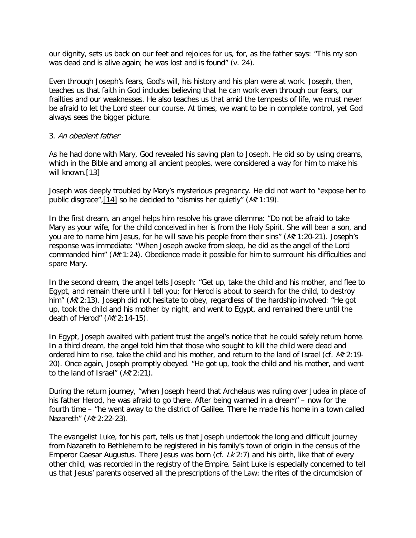our dignity, sets us back on our feet and rejoices for us, for, as the father says: "This my son was dead and is alive again; he was lost and is found" (v. 24).

Even through Joseph's fears, God's will, his history and his plan were at work. Joseph, then, teaches us that faith in God includes believing that he can work even through our fears, our frailties and our weaknesses. He also teaches us that amid the tempests of life, we must never be afraid to let the Lord steer our course. At times, we want to be in complete control, yet God always sees the bigger picture.

### 3. An obedient father

As he had done with Mary, God revealed his saving plan to Joseph. He did so by using dreams, which in the Bible and among all ancient peoples, were considered a way for him to make his will known[.\[13\]](http://www.vatican.va/content/francesco/en/apost_letters/documents/papa-francesco-lettera-ap_20201208_patris-corde.html#_ftn13)

Joseph was deeply troubled by Mary's mysterious pregnancy. He did not want to "expose her to public disgrace", [14] so he decided to "dismiss her quietly"  $(Mt 1:19)$ .

In the first dream, an angel helps him resolve his grave dilemma: "Do not be afraid to take Mary as your wife, for the child conceived in her is from the Holy Spirit. She will bear a son, and you are to name him Jesus, for he will save his people from their sins" (Mt 1:20-21). Joseph's response was immediate: "When Joseph awoke from sleep, he did as the angel of the Lord commanded him" (Mt 1:24). Obedience made it possible for him to surmount his difficulties and spare Mary.

In the second dream, the angel tells Joseph: "Get up, take the child and his mother, and flee to Egypt, and remain there until I tell you; for Herod is about to search for the child, to destroy him" (*Mt* 2:13). Joseph did not hesitate to obey, regardless of the hardship involved: "He got up, took the child and his mother by night, and went to Egypt, and remained there until the death of Herod" (Mt 2:14-15).

In Egypt, Joseph awaited with patient trust the angel's notice that he could safely return home. In a third dream, the angel told him that those who sought to kill the child were dead and ordered him to rise, take the child and his mother, and return to the land of Israel (cf. Mt 2:19-20). Once again, Joseph promptly obeyed. "He got up, took the child and his mother, and went to the land of Israel" (Mt 2:21).

During the return journey, "when Joseph heard that Archelaus was ruling over Judea in place of his father Herod, he was afraid to go there. After being warned in a dream" – now for the fourth time – "he went away to the district of Galilee. There he made his home in a town called Nazareth" (Mt 2:22-23).

The evangelist Luke, for his part, tells us that Joseph undertook the long and difficult journey from Nazareth to Bethlehem to be registered in his family's town of origin in the census of the Emperor Caesar Augustus. There Jesus was born (cf.  $Lk$  2:7) and his birth, like that of every other child, was recorded in the registry of the Empire. Saint Luke is especially concerned to tell us that Jesus' parents observed all the prescriptions of the Law: the rites of the circumcision of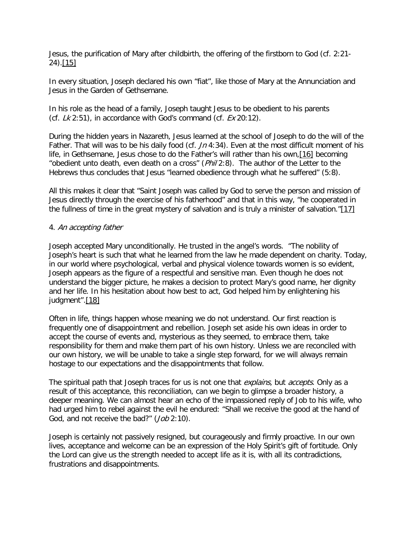Jesus, the purification of Mary after childbirth, the offering of the firstborn to God (cf. 2:21- 24)[.\[15\]](http://www.vatican.va/content/francesco/en/apost_letters/documents/papa-francesco-lettera-ap_20201208_patris-corde.html#_ftn15)

In every situation, Joseph declared his own "fiat", like those of Mary at the Annunciation and Jesus in the Garden of Gethsemane.

In his role as the head of a family, Joseph taught Jesus to be obedient to his parents (cf.  $Lk$  2:51), in accordance with God's command (cf.  $Ex$  20:12).

During the hidden years in Nazareth, Jesus learned at the school of Joseph to do the will of the Father. That will was to be his daily food (cf.  $Jn$  4:34). Even at the most difficult moment of his life, in Gethsemane, Jesus chose to do the Father's will rather than his own[,\[16\]](http://www.vatican.va/content/francesco/en/apost_letters/documents/papa-francesco-lettera-ap_20201208_patris-corde.html#_ftn16) becoming "obedient unto death, even death on a cross" (Phil 2:8). The author of the Letter to the Hebrews thus concludes that Jesus "learned obedience through what he suffered" (5:8).

All this makes it clear that "Saint Joseph was called by God to serve the person and mission of Jesus directly through the exercise of his fatherhood" and that in this way, "he cooperated in the fullness of time in the great mystery of salvation and is truly a minister of salvation.["\[17\]](http://www.vatican.va/content/francesco/en/apost_letters/documents/papa-francesco-lettera-ap_20201208_patris-corde.html#_ftn17)

### 4. An accepting father

Joseph accepted Mary unconditionally. He trusted in the angel's words. "The nobility of Joseph's heart is such that what he learned from the law he made dependent on charity. Today, in our world where psychological, verbal and physical violence towards women is so evident, Joseph appears as the figure of a respectful and sensitive man. Even though he does not understand the bigger picture, he makes a decision to protect Mary's good name, her dignity and her life. In his hesitation about how best to act, God helped him by enlightening his judgment"[.\[18\]](http://www.vatican.va/content/francesco/en/apost_letters/documents/papa-francesco-lettera-ap_20201208_patris-corde.html#_ftn18)

Often in life, things happen whose meaning we do not understand. Our first reaction is frequently one of disappointment and rebellion. Joseph set aside his own ideas in order to accept the course of events and, mysterious as they seemed, to embrace them, take responsibility for them and make them part of his own history. Unless we are reconciled with our own history, we will be unable to take a single step forward, for we will always remain hostage to our expectations and the disappointments that follow.

The spiritual path that Joseph traces for us is not one that *explains*, but *accepts*. Only as a result of this acceptance, this reconciliation, can we begin to glimpse a broader history, a deeper meaning. We can almost hear an echo of the impassioned reply of Job to his wife, who had urged him to rebel against the evil he endured: "Shall we receive the good at the hand of God, and not receive the bad?" (Job 2:10).

Joseph is certainly not passively resigned, but courageously and firmly proactive. In our own lives, acceptance and welcome can be an expression of the Holy Spirit's gift of fortitude. Only the Lord can give us the strength needed to accept life as it is, with all its contradictions, frustrations and disappointments.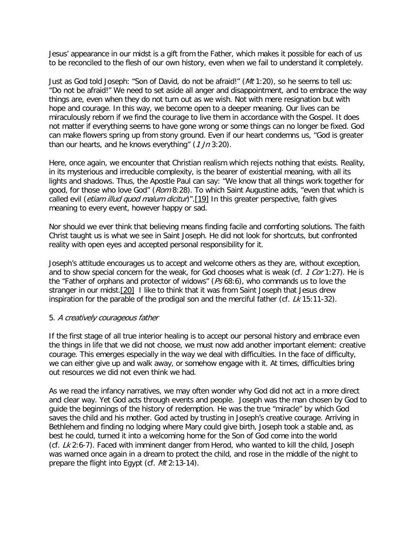Jesus' appearance in our midst is a gift from the Father, which makes it possible for each of us to be reconciled to the flesh of our own history, even when we fail to understand it completely.

Just as God told Joseph: "Son of David, do not be afraid!" (Mt 1:20), so he seems to tell us: "Do not be afraid!" We need to set aside all anger and disappointment, and to embrace the way things are, even when they do not turn out as we wish. Not with mere resignation but with hope and courage. In this way, we become open to a deeper meaning. Our lives can be miraculously reborn if we find the courage to live them in accordance with the Gospel. It does not matter if everything seems to have gone wrong or some things can no longer be fixed. God can make flowers spring up from stony ground. Even if our heart condemns us, "God is greater than our hearts, and he knows everything"  $(1 \text{ Jn } 3:20)$ .

Here, once again, we encounter that Christian realism which rejects nothing that exists. Reality, in its mysterious and irreducible complexity, is the bearer of existential meaning, with all its lights and shadows. Thus, the Apostle Paul can say: "We know that all things work together for good, for those who love God" (Rom 8:28). To which Saint Augustine adds, "even that which is called evil (etiam illud quod malum dicitur)"[.\[19\]](http://www.vatican.va/content/francesco/en/apost_letters/documents/papa-francesco-lettera-ap_20201208_patris-corde.html#_ftn19) In this greater perspective, faith gives meaning to every event, however happy or sad.

Nor should we ever think that believing means finding facile and comforting solutions. The faith Christ taught us is what we see in Saint Joseph. He did not look for shortcuts, but confronted reality with open eyes and accepted personal responsibility for it.

Joseph's attitude encourages us to accept and welcome others as they are, without exception, and to show special concern for the weak, for God chooses what is weak (cf. 1 Cor 1:27). He is the "Father of orphans and protector of widows"  $(Ps 68:6)$ , who commands us to love the stranger in our midst[.\[20\]](http://www.vatican.va/content/francesco/en/apost_letters/documents/papa-francesco-lettera-ap_20201208_patris-corde.html#_ftn20) I like to think that it was from Saint Joseph that Jesus drew inspiration for the parable of the prodigal son and the merciful father (cf.  $Lk$  15:11-32).

## 5. A creatively courageous father

If the first stage of all true interior healing is to accept our personal history and embrace even the things in life that we did not choose, we must now add another important element: creative courage. This emerges especially in the way we deal with difficulties. In the face of difficulty, we can either give up and walk away, or somehow engage with it. At times, difficulties bring out resources we did not even think we had.

As we read the infancy narratives, we may often wonder why God did not act in a more direct and clear way. Yet God acts through events and people. Joseph was the man chosen by God to guide the beginnings of the history of redemption. He was the true "miracle" by which God saves the child and his mother. God acted by trusting in Joseph's creative courage. Arriving in Bethlehem and finding no lodging where Mary could give birth, Joseph took a stable and, as best he could, turned it into a welcoming home for the Son of God come into the world (cf.  $Lk$  2:6-7). Faced with imminent danger from Herod, who wanted to kill the child, Joseph was warned once again in a dream to protect the child, and rose in the middle of the night to prepare the flight into Egypt (cf. Mt 2:13-14).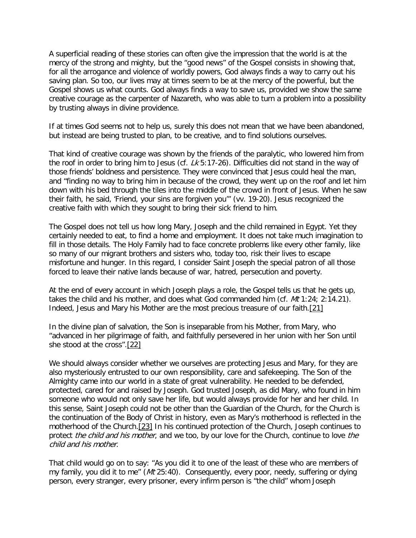A superficial reading of these stories can often give the impression that the world is at the mercy of the strong and mighty, but the "good news" of the Gospel consists in showing that, for all the arrogance and violence of worldly powers, God always finds a way to carry out his saving plan. So too, our lives may at times seem to be at the mercy of the powerful, but the Gospel shows us what counts. God always finds a way to save us, provided we show the same creative courage as the carpenter of Nazareth, who was able to turn a problem into a possibility by trusting always in divine providence.

If at times God seems not to help us, surely this does not mean that we have been abandoned, but instead are being trusted to plan, to be creative, and to find solutions ourselves.

That kind of creative courage was shown by the friends of the paralytic, who lowered him from the roof in order to bring him to Jesus (cf. Lk 5:17-26). Difficulties did not stand in the way of those friends' boldness and persistence. They were convinced that Jesus could heal the man, and "finding no way to bring him in because of the crowd, they went up on the roof and let him down with his bed through the tiles into the middle of the crowd in front of Jesus. When he saw their faith, he said, 'Friend, your sins are forgiven you'" (vv. 19-20). Jesus recognized the creative faith with which they sought to bring their sick friend to him.

The Gospel does not tell us how long Mary, Joseph and the child remained in Egypt. Yet they certainly needed to eat, to find a home and employment. It does not take much imagination to fill in those details. The Holy Family had to face concrete problems like every other family, like so many of our migrant brothers and sisters who, today too, risk their lives to escape misfortune and hunger. In this regard, I consider Saint Joseph the special patron of all those forced to leave their native lands because of war, hatred, persecution and poverty.

At the end of every account in which Joseph plays a role, the Gospel tells us that he gets up, takes the child and his mother, and does what God commanded him (cf.  $Mt$  1:24; 2:14.21). Indeed, Jesus and Mary his Mother are the most precious treasure of our faith[.\[21\]](http://www.vatican.va/content/francesco/en/apost_letters/documents/papa-francesco-lettera-ap_20201208_patris-corde.html#_ftn21)

In the divine plan of salvation, the Son is inseparable from his Mother, from Mary, who "advanced in her pilgrimage of faith, and faithfully persevered in her union with her Son until she stood at the cross"[.\[22\]](http://www.vatican.va/content/francesco/en/apost_letters/documents/papa-francesco-lettera-ap_20201208_patris-corde.html#_ftn22)

We should always consider whether we ourselves are protecting Jesus and Mary, for they are also mysteriously entrusted to our own responsibility, care and safekeeping. The Son of the Almighty came into our world in a state of great vulnerability. He needed to be defended, protected, cared for and raised by Joseph. God trusted Joseph, as did Mary, who found in him someone who would not only save her life, but would always provide for her and her child. In this sense, Saint Joseph could not be other than the Guardian of the Church, for the Church is the continuation of the Body of Christ in history, even as Mary's motherhood is reflected in the motherhood of the Church[.\[23\]](http://www.vatican.va/content/francesco/en/apost_letters/documents/papa-francesco-lettera-ap_20201208_patris-corde.html#_ftn23) In his continued protection of the Church, Joseph continues to protect the child and his mother, and we too, by our love for the Church, continue to love the child and his mother.

That child would go on to say: "As you did it to one of the least of these who are members of my family, you did it to me" (Mt 25:40). Consequently, every poor, needy, suffering or dying person, every stranger, every prisoner, every infirm person is "the child" whom Joseph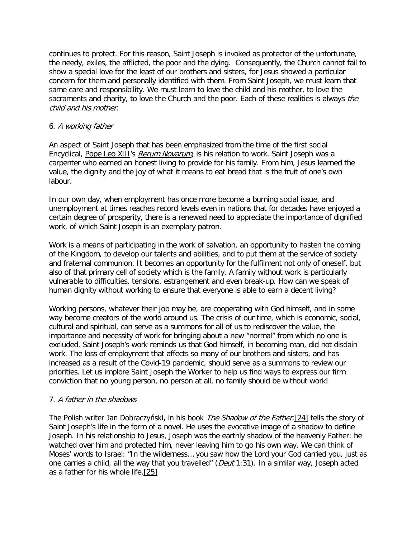continues to protect. For this reason, Saint Joseph is invoked as protector of the unfortunate, the needy, exiles, the afflicted, the poor and the dying. Consequently, the Church cannot fail to show a special love for the least of our brothers and sisters, for Jesus showed a particular concern for them and personally identified with them. From Saint Joseph, we must learn that same care and responsibility. We must learn to love the child and his mother, to love the sacraments and charity, to love the Church and the poor. Each of these realities is always the child and his mother.

## 6. A working father

An aspect of Saint Joseph that has been emphasized from the time of the first social Encyclical, [Pope Leo XIII'](http://www.vatican.va/content/leo-xiii/en.html)s *[Rerum Novarum](http://www.vatican.va/content/leo-xiii/en/encyclicals/documents/hf_l-xiii_enc_15051891_rerum-novarum.html)*, is his relation to work. Saint Joseph was a carpenter who earned an honest living to provide for his family. From him, Jesus learned the value, the dignity and the joy of what it means to eat bread that is the fruit of one's own labour.

In our own day, when employment has once more become a burning social issue, and unemployment at times reaches record levels even in nations that for decades have enjoyed a certain degree of prosperity, there is a renewed need to appreciate the importance of dignified work, of which Saint Joseph is an exemplary patron.

Work is a means of participating in the work of salvation, an opportunity to hasten the coming of the Kingdom, to develop our talents and abilities, and to put them at the service of society and fraternal communion. It becomes an opportunity for the fulfilment not only of oneself, but also of that primary cell of society which is the family. A family without work is particularly vulnerable to difficulties, tensions, estrangement and even break-up. How can we speak of human dignity without working to ensure that everyone is able to earn a decent living?

Working persons, whatever their job may be, are cooperating with God himself, and in some way become creators of the world around us. The crisis of our time, which is economic, social, cultural and spiritual, can serve as a summons for all of us to rediscover the value, the importance and necessity of work for bringing about a new "normal" from which no one is excluded. Saint Joseph's work reminds us that God himself, in becoming man, did not disdain work. The loss of employment that affects so many of our brothers and sisters, and has increased as a result of the Covid-19 pandemic, should serve as a summons to review our priorities. Let us implore Saint Joseph the Worker to help us find ways to express our firm conviction that no young person, no person at all, no family should be without work!

## 7. A father in the shadows

The Polish writer Jan Dobraczyński, in his book *The Shadow of the Father*[,\[24\]](http://www.vatican.va/content/francesco/en/apost_letters/documents/papa-francesco-lettera-ap_20201208_patris-corde.html#_ftn24) tells the story of Saint Joseph's life in the form of a novel. He uses the evocative image of a shadow to define Joseph. In his relationship to Jesus, Joseph was the earthly shadow of the heavenly Father: he watched over him and protected him, never leaving him to go his own way. We can think of Moses' words to Israel: "In the wilderness… you saw how the Lord your God carried you, just as one carries a child, all the way that you travelled" (Deut 1:31). In a similar way, Joseph acted as a father for his whole life[.\[25\]](http://www.vatican.va/content/francesco/en/apost_letters/documents/papa-francesco-lettera-ap_20201208_patris-corde.html#_ftn25)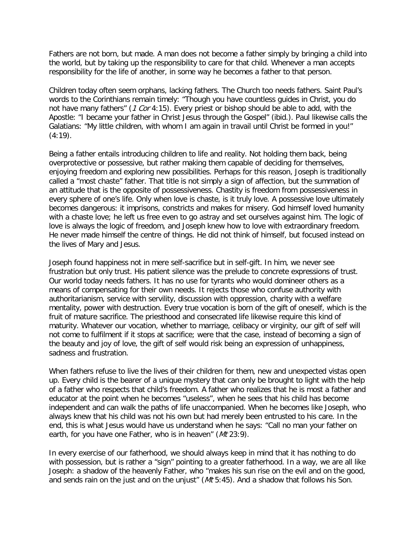Fathers are not born, but made. A man does not become a father simply by bringing a child into the world, but by taking up the responsibility to care for that child. Whenever a man accepts responsibility for the life of another, in some way he becomes a father to that person.

Children today often seem orphans, lacking fathers. The Church too needs fathers. Saint Paul's words to the Corinthians remain timely: "Though you have countless guides in Christ, you do not have many fathers" (1 Cor 4:15). Every priest or bishop should be able to add, with the Apostle: "I became your father in Christ Jesus through the Gospel" (ibid.). Paul likewise calls the Galatians: "My little children, with whom I am again in travail until Christ be formed in you!"  $(4:19)$ .

Being a father entails introducing children to life and reality. Not holding them back, being overprotective or possessive, but rather making them capable of deciding for themselves, enjoying freedom and exploring new possibilities. Perhaps for this reason, Joseph is traditionally called a "most chaste" father. That title is not simply a sign of affection, but the summation of an attitude that is the opposite of possessiveness. Chastity is freedom from possessiveness in every sphere of one's life. Only when love is chaste, is it truly love. A possessive love ultimately becomes dangerous: it imprisons, constricts and makes for misery. God himself loved humanity with a chaste love; he left us free even to go astray and set ourselves against him. The logic of love is always the logic of freedom, and Joseph knew how to love with extraordinary freedom. He never made himself the centre of things. He did not think of himself, but focused instead on the lives of Mary and Jesus.

Joseph found happiness not in mere self-sacrifice but in self-gift. In him, we never see frustration but only trust. His patient silence was the prelude to concrete expressions of trust. Our world today needs fathers. It has no use for tyrants who would domineer others as a means of compensating for their own needs. It rejects those who confuse authority with authoritarianism, service with servility, discussion with oppression, charity with a welfare mentality, power with destruction. Every true vocation is born of the gift of oneself, which is the fruit of mature sacrifice. The priesthood and consecrated life likewise require this kind of maturity. Whatever our vocation, whether to marriage, celibacy or virginity, our gift of self will not come to fulfilment if it stops at sacrifice; were that the case, instead of becoming a sign of the beauty and joy of love, the gift of self would risk being an expression of unhappiness, sadness and frustration.

When fathers refuse to live the lives of their children for them, new and unexpected vistas open up. Every child is the bearer of a unique mystery that can only be brought to light with the help of a father who respects that child's freedom. A father who realizes that he is most a father and educator at the point when he becomes "useless", when he sees that his child has become independent and can walk the paths of life unaccompanied. When he becomes like Joseph, who always knew that his child was not his own but had merely been entrusted to his care. In the end, this is what Jesus would have us understand when he says: "Call no man your father on earth, for you have one Father, who is in heaven" (Mt 23:9).

In every exercise of our fatherhood, we should always keep in mind that it has nothing to do with possession, but is rather a "sign" pointing to a greater fatherhood. In a way, we are all like Joseph: a shadow of the heavenly Father, who "makes his sun rise on the evil and on the good, and sends rain on the just and on the unjust" (Mt 5:45). And a shadow that follows his Son.